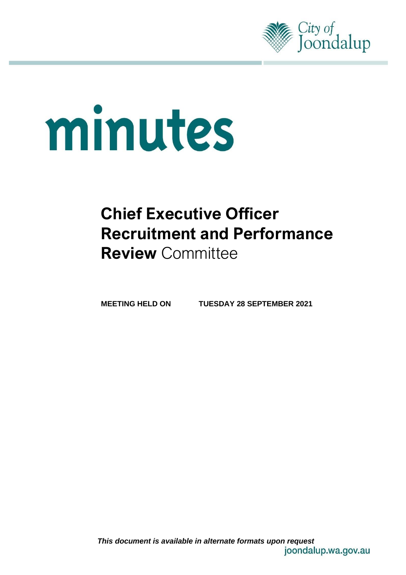

# minutes

# **Chief Executive Officer Recruitment and Performance Review** Committee

**MEETING HELD ON TUESDAY 28 SEPTEMBER 2021**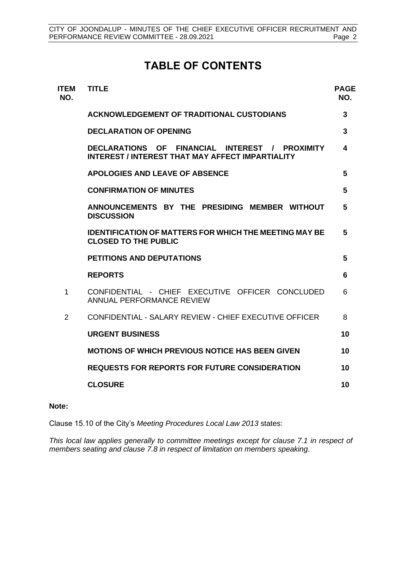# **TABLE OF CONTENTS**

| <b>ITEM</b><br>NO. | <b>TITLE</b>                                                                                              | <b>PAGE</b><br>NO. |
|--------------------|-----------------------------------------------------------------------------------------------------------|--------------------|
|                    | <b>ACKNOWLEDGEMENT OF TRADITIONAL CUSTODIANS</b>                                                          | 3                  |
|                    | <b>DECLARATION OF OPENING</b>                                                                             | $\overline{3}$     |
|                    | DECLARATIONS OF FINANCIAL INTEREST / PROXIMITY<br><b>INTEREST / INTEREST THAT MAY AFFECT IMPARTIALITY</b> | 4                  |
|                    | <b>APOLOGIES AND LEAVE OF ABSENCE</b>                                                                     | 5                  |
|                    | <b>CONFIRMATION OF MINUTES</b>                                                                            | 5                  |
|                    | ANNOUNCEMENTS BY THE PRESIDING MEMBER WITHOUT<br><b>DISCUSSION</b>                                        | 5                  |
|                    | <b>IDENTIFICATION OF MATTERS FOR WHICH THE MEETING MAY BE</b><br><b>CLOSED TO THE PUBLIC</b>              | 5                  |
|                    | PETITIONS AND DEPUTATIONS                                                                                 | 5                  |
|                    | <b>REPORTS</b>                                                                                            | 6                  |
| 1                  | CONFIDENTIAL - CHIEF EXECUTIVE OFFICER CONCLUDED<br>ANNUAL PERFORMANCE REVIEW                             | 6                  |
| 2                  | CONFIDENTIAL - SALARY REVIEW - CHIFF EXECUTIVE OFFICER                                                    | 8                  |
|                    | <b>URGENT BUSINESS</b>                                                                                    | 10                 |
|                    | <b>MOTIONS OF WHICH PREVIOUS NOTICE HAS BEEN GIVEN</b>                                                    | 10                 |
|                    | <b>REQUESTS FOR REPORTS FOR FUTURE CONSIDERATION</b>                                                      | 10                 |
|                    | <b>CLOSURE</b>                                                                                            | 10                 |
|                    |                                                                                                           |                    |

#### **Note:**

Clause 15.10 of the City's *Meeting Procedures Local Law 2013* states:

*This local law applies generally to committee meetings except for clause 7.1 in respect of members seating and clause 7.8 in respect of limitation on members speaking.*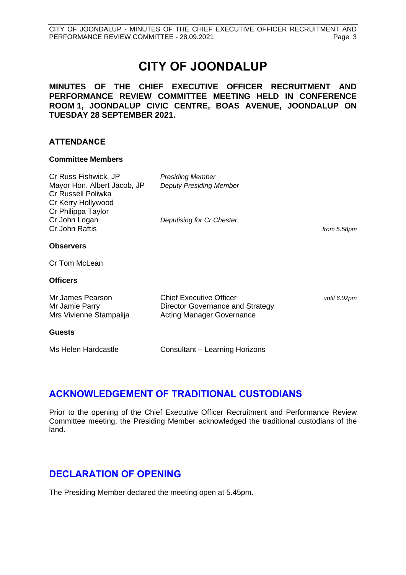# **CITY OF JOONDALUP**

**MINUTES OF THE CHIEF EXECUTIVE OFFICER RECRUITMENT AND PERFORMANCE REVIEW COMMITTEE MEETING HELD IN CONFERENCE ROOM 1, JOONDALUP CIVIC CENTRE, BOAS AVENUE, JOONDALUP ON TUESDAY 28 SEPTEMBER 2021.**

### **ATTENDANCE**

#### **Committee Members**

| Cr Russ Fishwick, JP<br>Mayor Hon. Albert Jacob, JP<br>Cr Russell Poliwka<br>Cr Kerry Hollywood<br>Cr Philippa Taylor | <b>Presiding Member</b><br><b>Deputy Presiding Member</b>                                              |              |
|-----------------------------------------------------------------------------------------------------------------------|--------------------------------------------------------------------------------------------------------|--------------|
| Cr John Logan<br>Cr John Raftis                                                                                       | Deputising for Cr Chester                                                                              | from 5.58pm  |
| <b>Observers</b>                                                                                                      |                                                                                                        |              |
| Cr Tom McLean                                                                                                         |                                                                                                        |              |
| <b>Officers</b>                                                                                                       |                                                                                                        |              |
| Mr James Pearson<br>Mr Jamie Parry<br>Mrs Vivienne Stampalija                                                         | <b>Chief Executive Officer</b><br>Director Governance and Strategy<br><b>Acting Manager Governance</b> | until 6.02pm |
| <b>Guests</b>                                                                                                         |                                                                                                        |              |
| Ms Helen Hardcastle                                                                                                   | Consultant – Learning Horizons                                                                         |              |

# <span id="page-2-0"></span>**ACKNOWLEDGEMENT OF TRADITIONAL CUSTODIANS**

Prior to the opening of the Chief Executive Officer Recruitment and Performance Review Committee meeting, the Presiding Member acknowledged the traditional custodians of the land.

# <span id="page-2-1"></span>**DECLARATION OF OPENING**

The Presiding Member declared the meeting open at 5.45pm.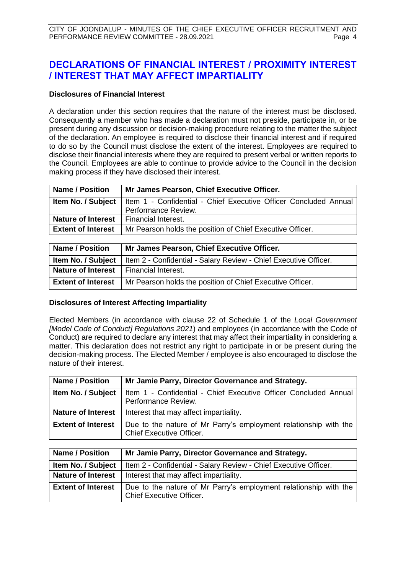# <span id="page-3-0"></span>**DECLARATIONS OF FINANCIAL INTEREST / PROXIMITY INTEREST / INTEREST THAT MAY AFFECT IMPARTIALITY**

#### **Disclosures of Financial Interest**

A declaration under this section requires that the nature of the interest must be disclosed. Consequently a member who has made a declaration must not preside, participate in, or be present during any discussion or decision-making procedure relating to the matter the subject of the declaration. An employee is required to disclose their financial interest and if required to do so by the Council must disclose the extent of the interest. Employees are required to disclose their financial interests where they are required to present verbal or written reports to the Council. Employees are able to continue to provide advice to the Council in the decision making process if they have disclosed their interest.

| <b>Name / Position</b>    | Mr James Pearson, Chief Executive Officer.                       |  |  |
|---------------------------|------------------------------------------------------------------|--|--|
| Item No. / Subject        | Item 1 - Confidential - Chief Executive Officer Concluded Annual |  |  |
|                           | Performance Review.                                              |  |  |
| <b>Nature of Interest</b> | Financial Interest.                                              |  |  |
| <b>Extent of Interest</b> | Mr Pearson holds the position of Chief Executive Officer.        |  |  |
|                           |                                                                  |  |  |

| <b>Name / Position</b>                          | Mr James Pearson, Chief Executive Officer.                                                   |
|-------------------------------------------------|----------------------------------------------------------------------------------------------|
|                                                 | <b>Item No. / Subject</b>   Item 2 - Confidential - Salary Review - Chief Executive Officer. |
| <b>Nature of Interest</b>   Financial Interest. |                                                                                              |
| <b>Extent of Interest</b>                       | Mr Pearson holds the position of Chief Executive Officer.                                    |

#### **Disclosures of Interest Affecting Impartiality**

Elected Members (in accordance with clause 22 of Schedule 1 of the *Local Government [Model Code of Conduct] Regulations 2021*) and employees (in accordance with the Code of Conduct) are required to declare any interest that may affect their impartiality in considering a matter. This declaration does not restrict any right to participate in or be present during the decision-making process. The Elected Member / employee is also encouraged to disclose the nature of their interest.

| <b>Name / Position</b>                                                                                                           | Mr Jamie Parry, Director Governance and Strategy.                                       |  |  |
|----------------------------------------------------------------------------------------------------------------------------------|-----------------------------------------------------------------------------------------|--|--|
| Item No. / Subject                                                                                                               | Item 1 - Confidential - Chief Executive Officer Concluded Annual<br>Performance Review. |  |  |
| <b>Nature of Interest</b>                                                                                                        | Interest that may affect impartiality.                                                  |  |  |
| <b>Extent of Interest</b><br>Due to the nature of Mr Parry's employment relationship with the<br><b>Chief Executive Officer.</b> |                                                                                         |  |  |

| <b>Name / Position</b><br>Mr Jamie Parry, Director Governance and Strategy. |                                                                                              |  |
|-----------------------------------------------------------------------------|----------------------------------------------------------------------------------------------|--|
| Item No. / Subject                                                          | Item 2 - Confidential - Salary Review - Chief Executive Officer.                             |  |
| <b>Nature of Interest</b>                                                   | Interest that may affect impartiality.                                                       |  |
| <b>Extent of Interest</b>                                                   | Due to the nature of Mr Parry's employment relationship with the<br>Chief Executive Officer. |  |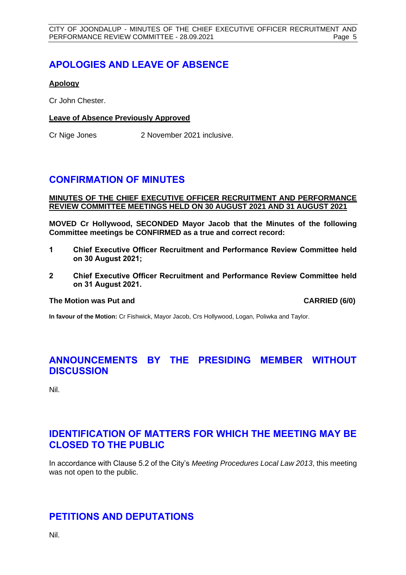# <span id="page-4-0"></span>**APOLOGIES AND LEAVE OF ABSENCE**

#### **Apology**

Cr John Chester.

#### **Leave of Absence Previously Approved**

Cr Nige Jones 2 November 2021 inclusive.

# <span id="page-4-1"></span>**CONFIRMATION OF MINUTES**

#### **MINUTES OF THE CHIEF EXECUTIVE OFFICER RECRUITMENT AND PERFORMANCE REVIEW COMMITTEE MEETINGS HELD ON 30 AUGUST 2021 AND 31 AUGUST 2021**

**MOVED Cr Hollywood, SECONDED Mayor Jacob that the Minutes of the following Committee meetings be CONFIRMED as a true and correct record:**

- **1 Chief Executive Officer Recruitment and Performance Review Committee held on 30 August 2021;**
- **2 Chief Executive Officer Recruitment and Performance Review Committee held on 31 August 2021.**

#### **The Motion was Put and CARRIED (6/0)**

**In favour of the Motion:** Cr Fishwick, Mayor Jacob, Crs Hollywood, Logan, Poliwka and Taylor.

# <span id="page-4-2"></span>**ANNOUNCEMENTS BY THE PRESIDING MEMBER WITHOUT DISCUSSION**

Nil.

# <span id="page-4-3"></span>**IDENTIFICATION OF MATTERS FOR WHICH THE MEETING MAY BE CLOSED TO THE PUBLIC**

In accordance with Clause 5.2 of the City's *Meeting Procedures Local Law 2013*, this meeting was not open to the public.

# <span id="page-4-4"></span>**PETITIONS AND DEPUTATIONS**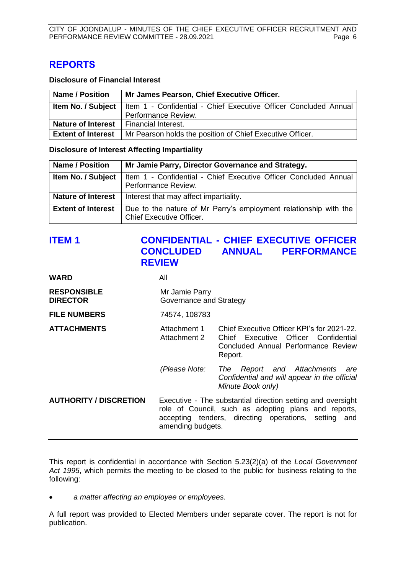# <span id="page-5-0"></span>**REPORTS**

#### **Disclosure of Financial Interest**

| <b>Name / Position</b>                          | Mr James Pearson, Chief Executive Officer.                                                   |  |  |
|-------------------------------------------------|----------------------------------------------------------------------------------------------|--|--|
|                                                 | <b>Item No. / Subject</b>   Item 1 - Confidential - Chief Executive Officer Concluded Annual |  |  |
|                                                 | Performance Review.                                                                          |  |  |
| <b>Nature of Interest</b>   Financial Interest. |                                                                                              |  |  |
| <b>Extent of Interest</b>                       | Mr Pearson holds the position of Chief Executive Officer.                                    |  |  |

#### **Disclosure of Interest Affecting Impartiality**

| <b>Name / Position</b>    | Mr Jamie Parry, Director Governance and Strategy.                                            |  |  |
|---------------------------|----------------------------------------------------------------------------------------------|--|--|
| Item No. / Subject        | Item 1 - Confidential - Chief Executive Officer Concluded Annual<br>Performance Review.      |  |  |
| <b>Nature of Interest</b> | Interest that may affect impartiality.                                                       |  |  |
| <b>Extent of Interest</b> | Due to the nature of Mr Parry's employment relationship with the<br>Chief Executive Officer. |  |  |

# <span id="page-5-1"></span>**ITEM 1 CONFIDENTIAL - CHIEF EXECUTIVE OFFICER CONCLUDED ANNUAL PERFORMANCE REVIEW**

| WARD                                  | All                                                                                                                                                                                              |                                                                                                                                      |
|---------------------------------------|--------------------------------------------------------------------------------------------------------------------------------------------------------------------------------------------------|--------------------------------------------------------------------------------------------------------------------------------------|
| <b>RESPONSIBLE</b><br><b>DIRECTOR</b> | Mr Jamie Parry<br>Governance and Strategy                                                                                                                                                        |                                                                                                                                      |
| <b>FILE NUMBERS</b>                   | 74574, 108783                                                                                                                                                                                    |                                                                                                                                      |
| <b>ATTACHMENTS</b>                    | Attachment 1<br>Attachment 2                                                                                                                                                                     | Chief Executive Officer KPI's for 2021-22.<br>Chief Executive Officer Confidential<br>Concluded Annual Performance Review<br>Report. |
|                                       | (Please Note:                                                                                                                                                                                    | The Report and Attachments are<br>Confidential and will appear in the official<br>Minute Book only)                                  |
| <b>AUTHORITY / DISCRETION</b>         | Executive - The substantial direction setting and oversight<br>role of Council, such as adopting plans and reports,<br>accepting tenders, directing operations, setting and<br>amending budgets. |                                                                                                                                      |

This report is confidential in accordance with Section 5.23(2)(a) of the *Local Government Act 1995*, which permits the meeting to be closed to the public for business relating to the following:

• *a matter affecting an employee or employees.*

A full report was provided to Elected Members under separate cover. The report is not for publication.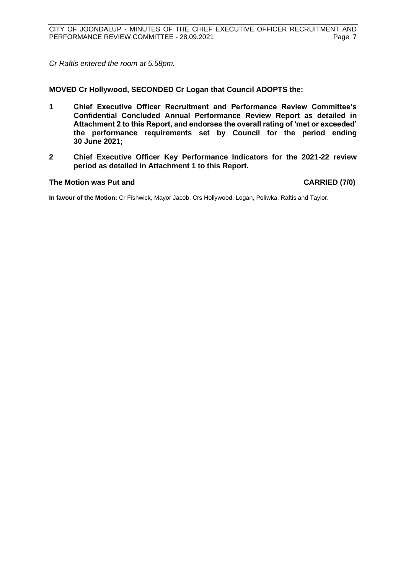*Cr Raftis entered the room at 5.58pm.*

#### **MOVED Cr Hollywood, SECONDED Cr Logan that Council ADOPTS the:**

- **1 Chief Executive Officer Recruitment and Performance Review Committee's Confidential Concluded Annual Performance Review Report as detailed in Attachment 2 to this Report, and endorses the overall rating of 'met or exceeded' the performance requirements set by Council for the period ending 30 June 2021;**
- **2 Chief Executive Officer Key Performance Indicators for the 2021-22 review period as detailed in Attachment 1 to this Report.**

#### **The Motion was Put and CARRIED (7/0)**

**In favour of the Motion:** Cr Fishwick, Mayor Jacob, Crs Hollywood, Logan, Poliwka, Raftis and Taylor.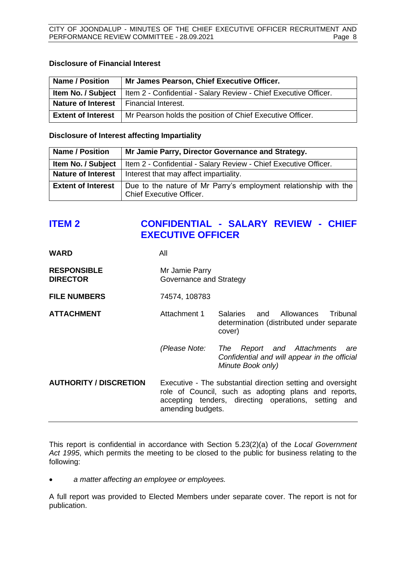#### **Disclosure of Financial Interest**

| <b>Name / Position</b>                                                                       | Mr James Pearson, Chief Executive Officer.                |  |
|----------------------------------------------------------------------------------------------|-----------------------------------------------------------|--|
| <b>Item No. / Subject</b>   Item 2 - Confidential - Salary Review - Chief Executive Officer. |                                                           |  |
| <b>Nature of Interest</b>   Financial Interest.                                              |                                                           |  |
| <b>Extent of Interest</b>                                                                    | Mr Pearson holds the position of Chief Executive Officer. |  |

#### **Disclosure of Interest affecting Impartiality**

| <b>Name / Position</b>    | Mr Jamie Parry, Director Governance and Strategy.                                                   |  |  |
|---------------------------|-----------------------------------------------------------------------------------------------------|--|--|
| Item No. / Subject        | Item 2 - Confidential - Salary Review - Chief Executive Officer.                                    |  |  |
| <b>Nature of Interest</b> | Interest that may affect impartiality.                                                              |  |  |
| <b>Extent of Interest</b> | Due to the nature of Mr Parry's employment relationship with the<br><b>Chief Executive Officer.</b> |  |  |

# <span id="page-7-0"></span>**ITEM 2 CONFIDENTIAL - SALARY REVIEW - CHIEF EXECUTIVE OFFICER**

| All                                                                                                                                                                                              |                                                                                                           |
|--------------------------------------------------------------------------------------------------------------------------------------------------------------------------------------------------|-----------------------------------------------------------------------------------------------------------|
| Mr Jamie Parry<br>Governance and Strategy                                                                                                                                                        |                                                                                                           |
| 74574, 108783                                                                                                                                                                                    |                                                                                                           |
| Attachment 1                                                                                                                                                                                     | Salaries and<br>Allowances<br>Tribunal<br>determination (distributed under separate<br>cover)             |
| (Please Note:                                                                                                                                                                                    | Report and Attachments<br>The<br>are<br>Confidential and will appear in the official<br>Minute Book only) |
| Executive - The substantial direction setting and oversight<br>role of Council, such as adopting plans and reports,<br>accepting tenders, directing operations, setting and<br>amending budgets. |                                                                                                           |
|                                                                                                                                                                                                  |                                                                                                           |

This report is confidential in accordance with Section 5.23(2)(a) of the *Local Government Act 1995*, which permits the meeting to be closed to the public for business relating to the following:

• *a matter affecting an employee or employees.*

A full report was provided to Elected Members under separate cover. The report is not for publication.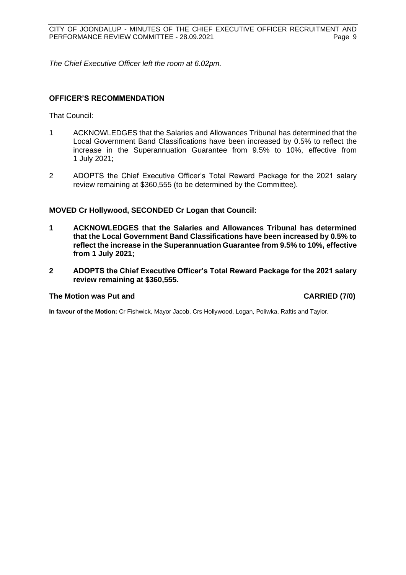*The Chief Executive Officer left the room at 6.02pm.*

#### **OFFICER'S RECOMMENDATION**

That Council:

- 1 ACKNOWLEDGES that the Salaries and Allowances Tribunal has determined that the Local Government Band Classifications have been increased by 0.5% to reflect the increase in the Superannuation Guarantee from 9.5% to 10%, effective from 1 July 2021;
- 2 ADOPTS the Chief Executive Officer's Total Reward Package for the 2021 salary review remaining at \$360,555 (to be determined by the Committee).

#### **MOVED Cr Hollywood, SECONDED Cr Logan that Council:**

- **1 ACKNOWLEDGES that the Salaries and Allowances Tribunal has determined that the Local Government Band Classifications have been increased by 0.5% to reflect the increase in the Superannuation Guarantee from 9.5% to 10%, effective from 1 July 2021;**
- **2 ADOPTS the Chief Executive Officer's Total Reward Package for the 2021 salary review remaining at \$360,555.**

#### **The Motion was Put and CARRIED (7/0)**

**In favour of the Motion:** Cr Fishwick, Mayor Jacob, Crs Hollywood, Logan, Poliwka, Raftis and Taylor.